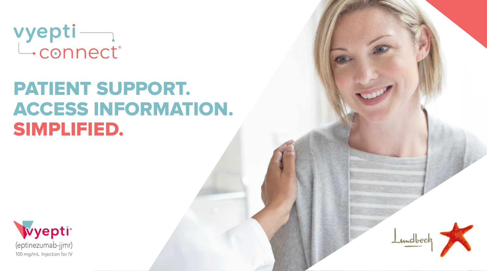vyepti<br>L.connect®

# PATIENT SUPPORT. ACCESS INFORMATION. SIMPLIFIED.



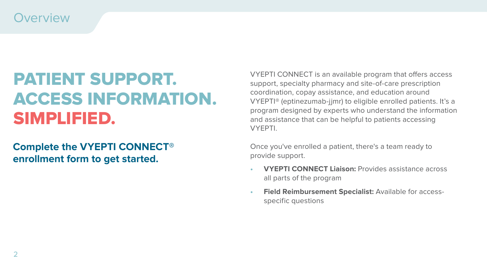### **Overview**

# PATIENT SUPPORT. ACCESS INFORMATION. SIMPLIFIED.

### **Complete the VYEPTI CONNECT® enrollment form to get started.**

VYEPTI CONNECT is an available program that offers access support, specialty pharmacy and site-of-care prescription coordination, copay assistance, and education around VYEPTI® (eptinezumab-jjmr) to eligible enrolled patients. It's a program designed by experts who understand the information and assistance that can be helpful to patients accessing VYEPTI.

Once you've enrolled a patient, there's a team ready to provide support.

- **• VYEPTI CONNECT Liaison:** Provides assistance across all parts of the program
- **• Field Reimbursement Specialist:** Available for accessspecific questions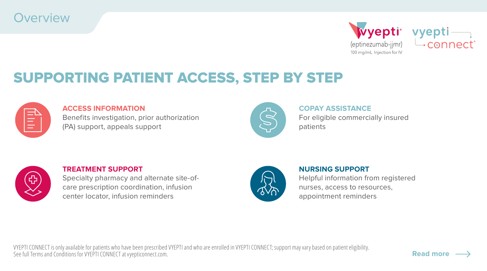



**[Read more](#page-3-0)**

## SUPPORTING PATIENT ACCESS, STEP BY STEP



#### **ACCESS INFORMATION**

Benefits investigation, prior authorization (PA) support, appeals support



### **COPAY ASSISTANCE** For eligible commercially insured patients



#### **TREATMENT SUPPORT**

Specialty pharmacy and alternate site-ofcare prescription coordination, infusion center locator, infusion reminders



### **NURSING SUPPORT** Helpful information from registered nurses, access to resources, appointment reminders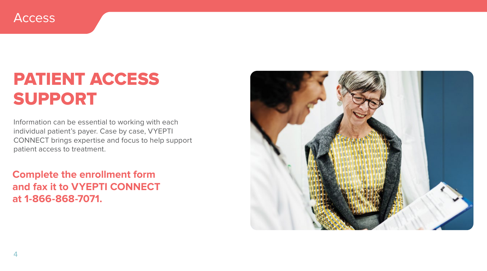<span id="page-3-0"></span>

## PATIENT ACCESS SUPPORT

Information can be essential to working with each individual patient's payer. Case by case, VYEPTI CONNECT brings expertise and focus to help support patient access to treatment.

**Complete the enrollment form and fax it to VYEPTI CONNECT at 1-866-868-7071.**

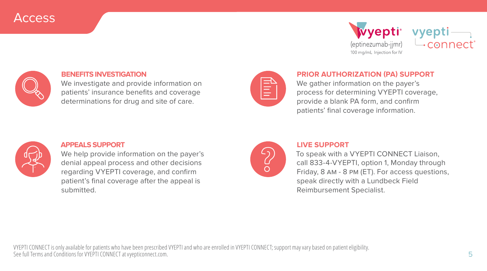## Access







#### **BENEFITS INVESTIGATION**

We investigate and provide information on patients' insurance benefits and coverage determinations for drug and site of care.



#### **PRIOR AUTHORIZATION (PA) SUPPORT**

We gather information on the payer's process for determining VYEPTI coverage, provide a blank PA form, and confirm patients' final coverage information.



#### **APPEALS SUPPORT**

We help provide information on the payer's denial appeal process and other decisions regarding VYEPTI coverage, and confirm patient's final coverage after the appeal is submitted.



#### **LIVE SUPPORT**

To speak with a VYEPTI CONNECT Liaison, call 833-4-VYEPTI, option 1, Monday through Friday, 8 am - 8 pm (ET). For access questions, speak directly with a Lundbeck Field Reimbursement Specialist.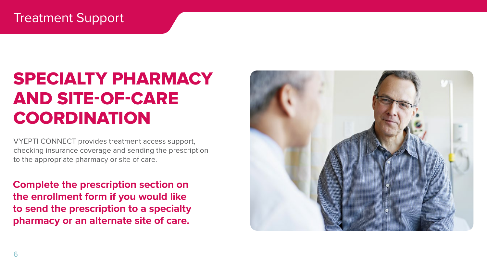## Treatment Support

# SPECIALTY PHARMACY AND SITE-OF-CARE **COORDINATION**

VYEPTI CONNECT provides treatment access support, checking insurance coverage and sending the prescription to the appropriate pharmacy or site of care.

**Complete the prescription section on the enrollment form if you would like to send the prescription to a specialty pharmacy or an alternate site of care.**

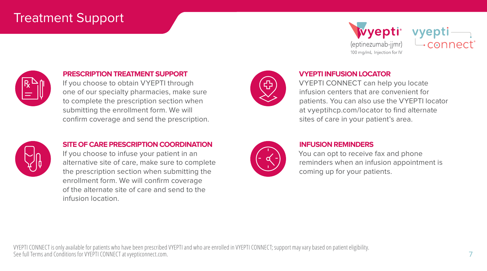## Treatment Support



vyepti  $\rightarrow$  connect



#### **PRESCRIPTION TREATMENT SUPPORT**

If you choose to obtain VYEPTI through one of our specialty pharmacies, make sure to complete the prescription section when submitting the enrollment form. We will confirm coverage and send the prescription.



#### **VYEPTI INFUSION LOCATOR**

VYEPTI CONNECT can help you locate infusion centers that are convenient for patients. You can also use the VYEPTI locator at [vyeptihcp.com/locator](http://vyeptihcp.com/locator) to find alternate sites of care in your patient's area.



#### **SITE OF CARE PRESCRIPTION COORDINATION**

If you choose to infuse your patient in an alternative site of care, make sure to complete the prescription section when submitting the enrollment form. We will confirm coverage of the alternate site of care and send to the infusion location.



#### **INFUSION REMINDERS**

You can opt to receive fax and phone reminders when an infusion appointment is coming up for your patients.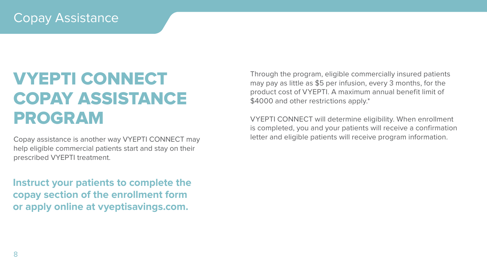## Copay Assistance

# VYEPTI CONNECT COPAY ASSISTANCE PROGRAM

Copay assistance is another way VYEPTI CONNECT may help eligible commercial patients start and stay on their prescribed VYEPTI treatment.

**Instruct your patients to complete the copay section of the enrollment form or apply online at [vyeptisavings.com](https://www.vyepti.com/savings-and-support#copay-assistance-program).**

Through the program, eligible commercially insured patients may pay as little as \$5 per infusion, every 3 months, for the product cost of VYEPTI. A maximum annual benefit limit of \$4000 and other restrictions apply.\*

VYEPTI CONNECT will determine eligibility. When enrollment is completed, you and your patients will receive a confirmation letter and eligible patients will receive program information.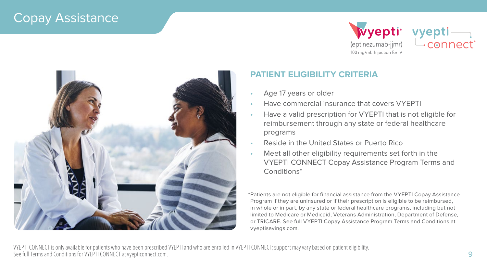## Copay Assistance







### **PATIENT ELIGIBILITY CRITERIA**

- Age 17 years or older
- Have commercial insurance that covers VYEPTI
- Have a valid prescription for VYEPTI that is not eligible for reimbursement through any state or federal healthcare programs
- Reside in the United States or Puerto Rico
- Meet all other eligibility requirements set forth in the VYEPTI CONNECT Copay Assistance Program Terms and Conditions\*

\*Patients are not eligible for financial assistance from the VYEPTI Copay Assistance Program if they are uninsured or if their prescription is eligible to be reimbursed, in whole or in part, by any state or federal healthcare programs, including but not limited to Medicare or Medicaid, Veterans Administration, Department of Defense, or TRICARE. See full VYEPTI Copay Assistance Program Terms and Conditions at [vyeptisavings.com.](https://www.vyepti.com/savings-and-support#copay-assistance-program)

VYEPTI CONNECT is only available for patients who have been prescribed VYEPTI and who are enrolled in VYEPTI CONNECT; support may vary based on patient eligibility. See full Terms and Conditions for VYEPTI CONNECT at [vyepticonnect.com.](https://www.vyeptihcp.com/vyepticonnect)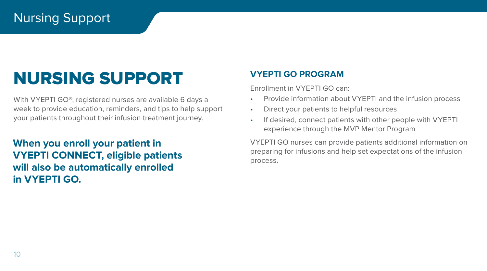## Nursing Support

# NURSING SUPPORT

With VYEPTI GO®, registered nurses are available 6 days a week to provide education, reminders, and tips to help support your patients throughout their infusion treatment journey.

**When you enroll your patient in VYEPTI CONNECT, eligible patients will also be automatically enrolled in VYEPTI GO.**

### **VYEPTI GO PROGRAM**

Enrollment in VYEPTI GO can:

- Provide information about VYEPTI and the infusion process
- Direct your patients to helpful resources
- If desired, connect patients with other people with VYEPTI experience through the MVP Mentor Program

VYEPTI GO nurses can provide patients additional information on preparing for infusions and help set expectations of the infusion process.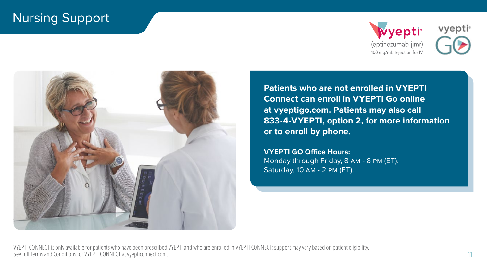## Nursing Support







**Patients can enroll online at vyeptigo.com. Connect can enroll in VYEPTI Go online Patients may also call 833-4-VYEPTI, Option X at [vyeptigo.com](https://www.vyepti.com/savings-and-support#enroll-vyepti-go). Patients may also call for more information or to enroll by phone. or to enroll by phone. Patients who are not enrolled in VYEPTI 833-4-VYEPTI, option 2, for more information** 

VYEPTI GO Office Hours: Monday through Friday, 8 am - 8 pm (ET).  $M_{\text{total}}$  and  $M_{\text{total}}$ , 8am - 8am (ET). Saturday, 10 AM - 2 PM (ET). **VYEPTI GO Office Hours:**

VYEPTI CONNECT is only available for patients who have been prescribed VYEPTI and who are enrolled in VYEPTI CONNECT; support may vary based on patient eligibility. See full Terms and Conditions for VYEPTI CONNECT at [vyepticonnect.com.](https://www.vyeptihcp.com/vyepticonnect)